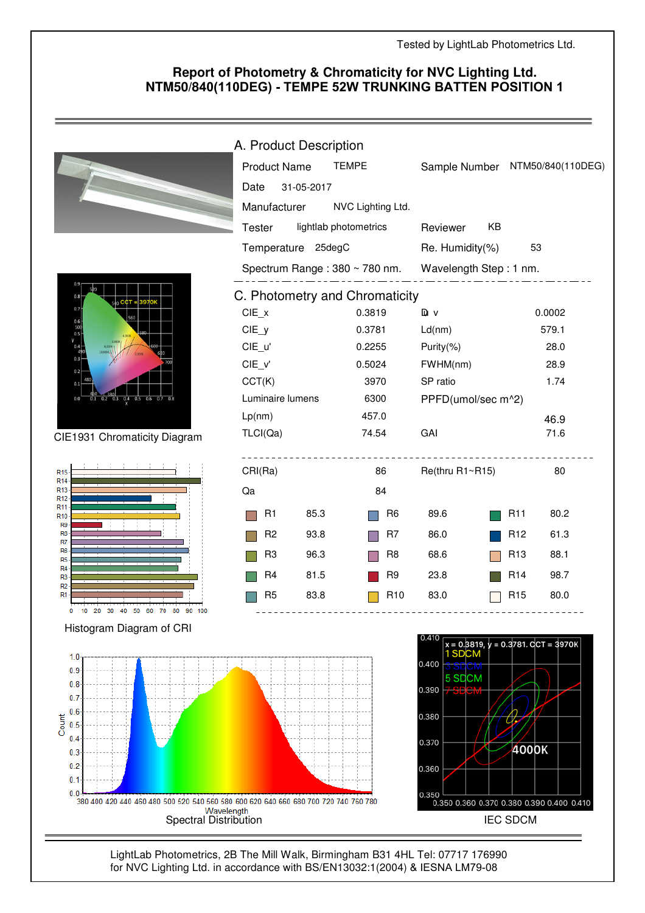## **Report of Photometry & Chromaticity for NVC Lighting Ltd. NTM50/840(110DEG) - TEMPE 52W TRUNKING BATTEN POSITION 1**

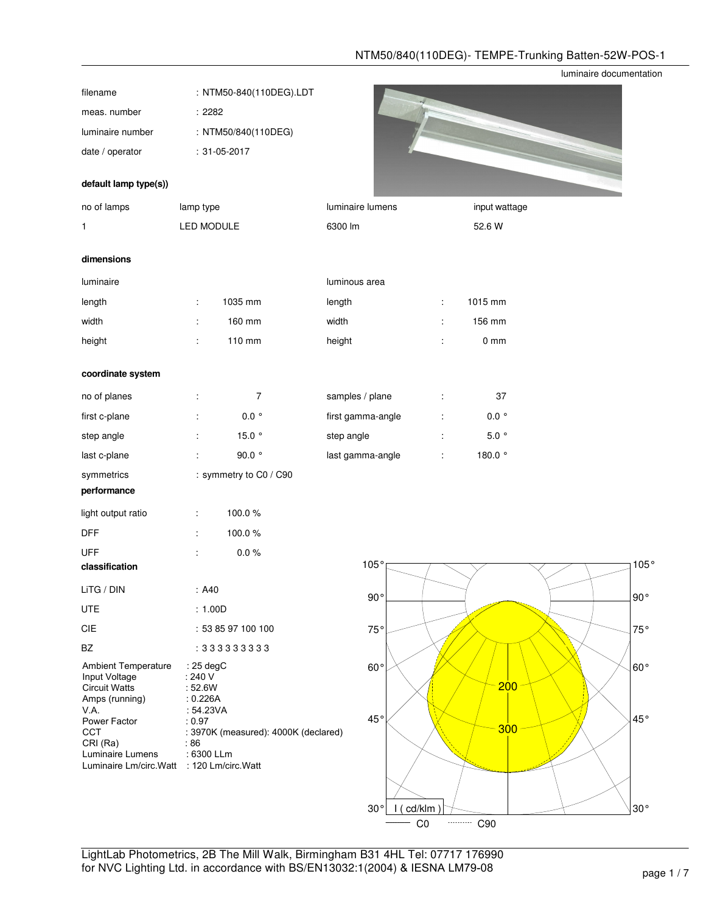## NTM50/840(110DEG)- TEMPE-Trunking Batten-52W-POS-1

luminaire documentation

| filename                                                                                                |                                               | : NTM50-840(110DEG).LDT              |                 |                   |                      |                |              |
|---------------------------------------------------------------------------------------------------------|-----------------------------------------------|--------------------------------------|-----------------|-------------------|----------------------|----------------|--------------|
| meas. number                                                                                            | :2282                                         |                                      |                 |                   |                      |                |              |
| luminaire number                                                                                        |                                               | : NTM50/840(110DEG)                  |                 |                   |                      |                |              |
| date / operator                                                                                         |                                               | $: 31 - 05 - 2017$                   |                 |                   |                      |                |              |
| default lamp type(s))                                                                                   |                                               |                                      |                 |                   |                      |                |              |
| no of lamps                                                                                             | lamp type                                     |                                      |                 | luminaire lumens  |                      | input wattage  |              |
| 1                                                                                                       | LED MODULE                                    |                                      | 6300 lm         |                   |                      | 52.6 W         |              |
|                                                                                                         |                                               |                                      |                 |                   |                      |                |              |
| dimensions                                                                                              |                                               |                                      |                 |                   |                      |                |              |
| luminaire                                                                                               |                                               |                                      | luminous area   |                   |                      |                |              |
| length                                                                                                  | ÷                                             | 1035 mm                              | length          |                   | ÷                    | 1015 mm        |              |
| width                                                                                                   | ÷                                             | 160 mm                               | width           |                   | ÷                    | 156 mm         |              |
| height                                                                                                  | ÷                                             | 110 mm                               | height          |                   | $\ddot{\phantom{a}}$ | $0 \text{ mm}$ |              |
| coordinate system                                                                                       |                                               |                                      |                 |                   |                      |                |              |
| no of planes                                                                                            | ÷                                             | $\overline{7}$                       | samples / plane |                   | ÷                    | 37             |              |
| first c-plane                                                                                           |                                               | $0.0~^{\circ}$                       |                 | first gamma-angle | t                    | $0.0~^{\circ}$ |              |
| step angle                                                                                              |                                               | 15.0 $\degree$                       | step angle      |                   | $\ddot{\phantom{a}}$ | $5.0~^{\circ}$ |              |
| last c-plane                                                                                            |                                               | $90.0~^{\circ}$                      |                 | last gamma-angle  | Ì.                   | 180.0 °        |              |
| symmetrics                                                                                              |                                               | : symmetry to C0 / C90               |                 |                   |                      |                |              |
| performance                                                                                             |                                               |                                      |                 |                   |                      |                |              |
| light output ratio                                                                                      | ÷                                             | 100.0%                               |                 |                   |                      |                |              |
| <b>DFF</b>                                                                                              | ÷                                             | 100.0%                               |                 |                   |                      |                |              |
| <b>UFF</b>                                                                                              |                                               | $0.0\ \%$                            |                 |                   |                      |                |              |
| classification                                                                                          |                                               |                                      |                 | 105°              |                      |                | 105°         |
| LiTG / DIN                                                                                              | : A40                                         |                                      |                 | $90^{\circ}$      |                      |                | $90^{\circ}$ |
| UTE                                                                                                     | : 1.00D                                       |                                      |                 |                   |                      |                |              |
| CIE                                                                                                     |                                               | : 53 85 97 100 100                   |                 | 75°               |                      |                | 75°          |
| BZ                                                                                                      |                                               | : 333333333                          |                 |                   |                      |                |              |
| Ambient Temperature<br>Input Voltage<br><b>Circuit Watts</b><br>Amps (running)                          | $: 25$ degC<br>: 240 V<br>: 52.6W<br>: 0.226A |                                      |                 | $60^{\circ}$      |                      | 200            | $60^{\circ}$ |
| VA.<br>Power Factor<br>CCT<br>CRI (Ra)<br>Luminaire Lumens<br>Luminaire Lm/circ.Watt : 120 Lm/circ.Watt | : 54.23VA<br>: 0.97<br>:86<br>: 6300 LLm      | : 3970K (measured): 4000K (declared) |                 | 45°               |                      | 300            | 45°          |
|                                                                                                         |                                               |                                      |                 |                   |                      |                |              |

C0 --------- C90

30° 30° I ( cd/klm )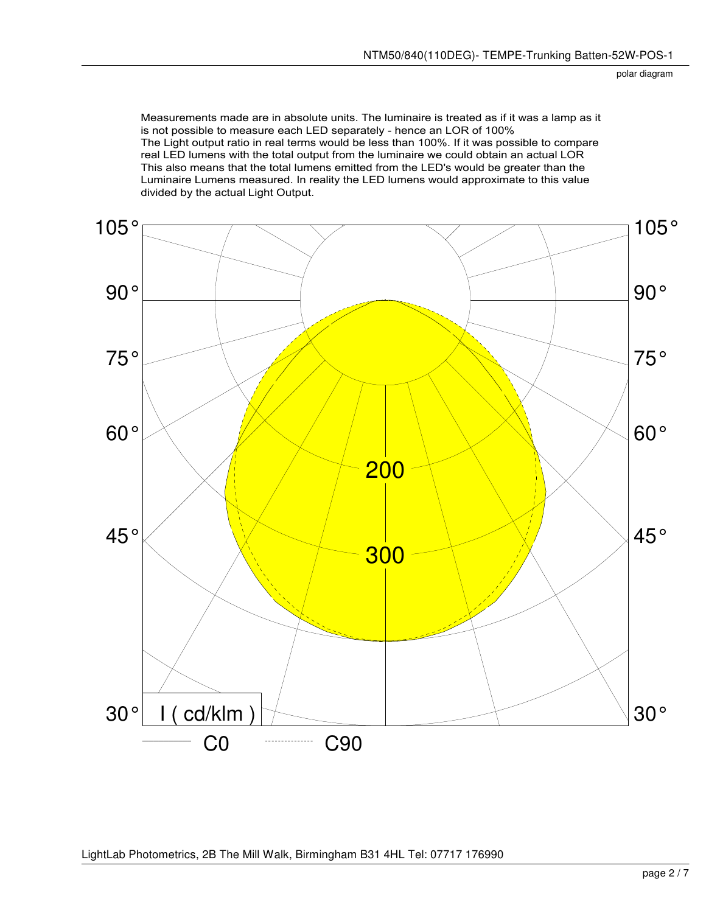Measurements made are in absolute units. The luminaire is treated as if it was a lamp as it is not possible to measure each LED separately - hence an LOR of 100% The Light output ratio in real terms would be less than 100%. If it was possible to compare real LED lumens with the total output from the luminaire we could obtain an actual LOR This also means that the total lumens emitted from the LED's would be greater than the Luminaire Lumens measured. In reality the LED lumens would approximate to this value divided by the actual Light Output.

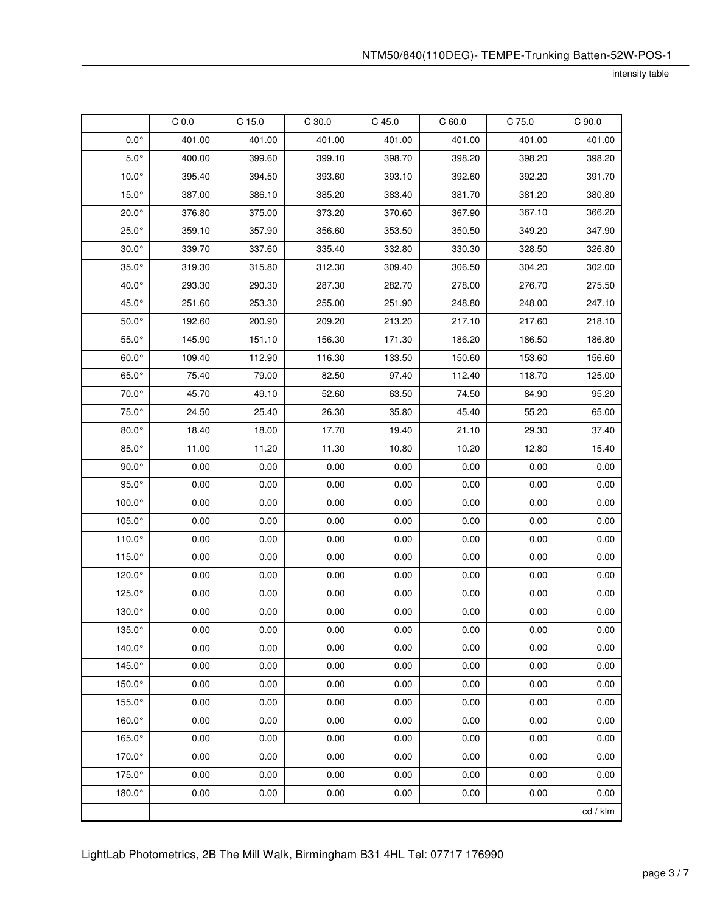intensity table

|                 | C <sub>0.0</sub> | $C$ 15.0 | $C$ 30.0 | $C$ 45.0 | C60.0  | C 75.0 | C 90.0   |
|-----------------|------------------|----------|----------|----------|--------|--------|----------|
| $0.0^{\circ}$   | 401.00           | 401.00   | 401.00   | 401.00   | 401.00 | 401.00 | 401.00   |
| $5.0^{\circ}$   | 400.00           | 399.60   | 399.10   | 398.70   | 398.20 | 398.20 | 398.20   |
| $10.0^\circ$    | 395.40           | 394.50   | 393.60   | 393.10   | 392.60 | 392.20 | 391.70   |
| $15.0^\circ$    | 387.00           | 386.10   | 385.20   | 383.40   | 381.70 | 381.20 | 380.80   |
| $20.0^\circ$    | 376.80           | 375.00   | 373.20   | 370.60   | 367.90 | 367.10 | 366.20   |
| $25.0^\circ$    | 359.10           | 357.90   | 356.60   | 353.50   | 350.50 | 349.20 | 347.90   |
| $30.0^\circ$    | 339.70           | 337.60   | 335.40   | 332.80   | 330.30 | 328.50 | 326.80   |
| $35.0^\circ$    | 319.30           | 315.80   | 312.30   | 309.40   | 306.50 | 304.20 | 302.00   |
| 40.0°           | 293.30           | 290.30   | 287.30   | 282.70   | 278.00 | 276.70 | 275.50   |
| 45.0°           | 251.60           | 253.30   | 255.00   | 251.90   | 248.80 | 248.00 | 247.10   |
| $50.0^\circ$    | 192.60           | 200.90   | 209.20   | 213.20   | 217.10 | 217.60 | 218.10   |
| $55.0^\circ$    | 145.90           | 151.10   | 156.30   | 171.30   | 186.20 | 186.50 | 186.80   |
| $60.0^\circ$    | 109.40           | 112.90   | 116.30   | 133.50   | 150.60 | 153.60 | 156.60   |
| $65.0^\circ$    | 75.40            | 79.00    | 82.50    | 97.40    | 112.40 | 118.70 | 125.00   |
| 70.0°           | 45.70            | 49.10    | 52.60    | 63.50    | 74.50  | 84.90  | 95.20    |
| 75.0°           | 24.50            | 25.40    | 26.30    | 35.80    | 45.40  | 55.20  | 65.00    |
| $80.0^\circ$    | 18.40            | 18.00    | 17.70    | 19.40    | 21.10  | 29.30  | 37.40    |
| $85.0^\circ$    | 11.00            | 11.20    | 11.30    | 10.80    | 10.20  | 12.80  | 15.40    |
| $90.0^\circ$    | 0.00             | 0.00     | 0.00     | 0.00     | 0.00   | 0.00   | 0.00     |
| $95.0^\circ$    | 0.00             | 0.00     | 0.00     | 0.00     | 0.00   | 0.00   | 0.00     |
| 100.0°          | 0.00             | 0.00     | 0.00     | 0.00     | 0.00   | 0.00   | 0.00     |
| 105.0°          | 0.00             | 0.00     | 0.00     | 0.00     | 0.00   | 0.00   | 0.00     |
| 110.0°          | 0.00             | 0.00     | 0.00     | 0.00     | 0.00   | 0.00   | 0.00     |
| 115.0°          | 0.00             | 0.00     | 0.00     | 0.00     | 0.00   | 0.00   | 0.00     |
| 120.0°          | 0.00             | 0.00     | 0.00     | 0.00     | 0.00   | 0.00   | 0.00     |
| 125.0°          | 0.00             | 0.00     | 0.00     | 0.00     | 0.00   | 0.00   | 0.00     |
| $130.0^\circ$   | 0.00             | 0.00     | 0.00     | 0.00     | 0.00   | 0.00   | 0.00     |
| $135.0^{\circ}$ | 0.00             | 0.00     | 0.00     | 0.00     | 0.00   | 0.00   | 0.00     |
| 140.0°          | 0.00             | 0.00     | 0.00     | 0.00     | 0.00   | 0.00   | 0.00     |
| 145.0°          | 0.00             | 0.00     | 0.00     | 0.00     | 0.00   | 0.00   | 0.00     |
| 150.0°          | 0.00             | 0.00     | 0.00     | 0.00     | 0.00   | 0.00   | 0.00     |
| 155.0°          | 0.00             | 0.00     | 0.00     | 0.00     | 0.00   | 0.00   | 0.00     |
| 160.0°          | 0.00             | 0.00     | 0.00     | 0.00     | 0.00   | 0.00   | 0.00     |
| 165.0°          | 0.00             | 0.00     | 0.00     | 0.00     | 0.00   | 0.00   | 0.00     |
| 170.0°          | 0.00             | 0.00     | 0.00     | 0.00     | 0.00   | 0.00   | 0.00     |
| 175.0°          | 0.00             | 0.00     | 0.00     | 0.00     | 0.00   | 0.00   | 0.00     |
| 180.0°          | 0.00             | 0.00     | 0.00     | 0.00     | 0.00   | 0.00   | 0.00     |
|                 |                  |          |          |          |        |        | cd / klm |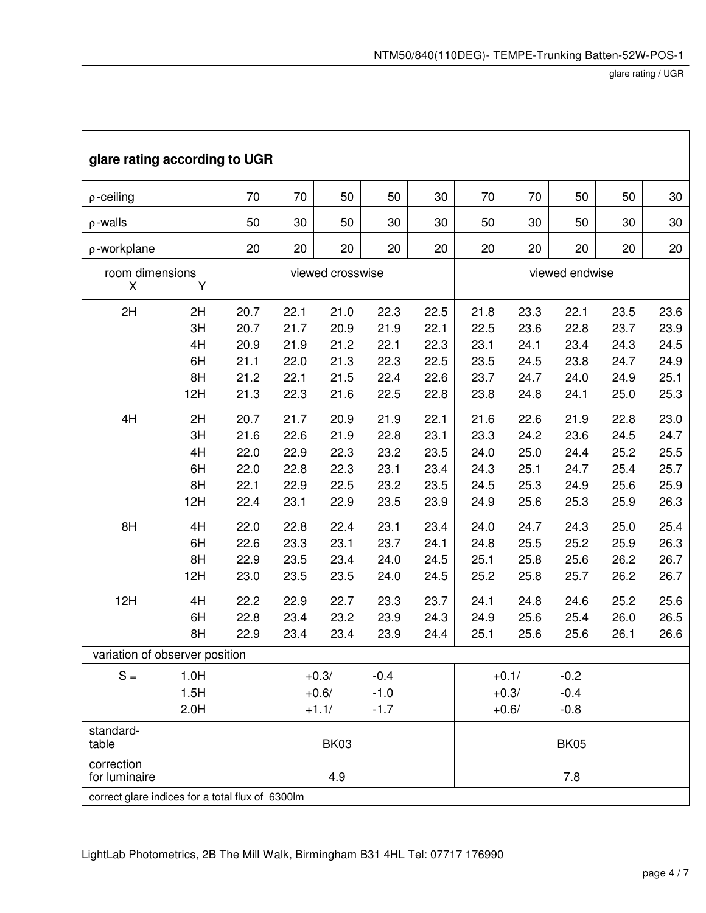٦

| glare rating according to UGR                                                                                                                     |                                   |                                              |                                              |                                              |                                              |                                              |                                              |                                              |                                              |                                              |                                              |
|---------------------------------------------------------------------------------------------------------------------------------------------------|-----------------------------------|----------------------------------------------|----------------------------------------------|----------------------------------------------|----------------------------------------------|----------------------------------------------|----------------------------------------------|----------------------------------------------|----------------------------------------------|----------------------------------------------|----------------------------------------------|
| $\rho$ -ceiling                                                                                                                                   | 70                                | 70                                           | 50                                           | 50                                           | 30                                           | 70                                           | 70                                           | 50                                           | 50                                           | 30                                           |                                              |
| $\rho$ -walls                                                                                                                                     |                                   | 50                                           | 30                                           | 50                                           | 30                                           | 30                                           | 50                                           | 30                                           | 50                                           | 30                                           | 30                                           |
| p-workplane                                                                                                                                       |                                   | 20                                           | 20                                           | 20                                           | 20                                           | 20                                           | 20                                           | 20                                           | 20                                           | 20                                           | 20                                           |
| room dimensions<br>X                                                                                                                              |                                   | viewed crosswise                             |                                              | viewed endwise                               |                                              |                                              |                                              |                                              |                                              |                                              |                                              |
| 2H                                                                                                                                                | 2H<br>3H<br>4H<br>6H<br>8H<br>12H | 20.7<br>20.7<br>20.9<br>21.1<br>21.2<br>21.3 | 22.1<br>21.7<br>21.9<br>22.0<br>22.1<br>22.3 | 21.0<br>20.9<br>21.2<br>21.3<br>21.5<br>21.6 | 22.3<br>21.9<br>22.1<br>22.3<br>22.4<br>22.5 | 22.5<br>22.1<br>22.3<br>22.5<br>22.6<br>22.8 | 21.8<br>22.5<br>23.1<br>23.5<br>23.7<br>23.8 | 23.3<br>23.6<br>24.1<br>24.5<br>24.7<br>24.8 | 22.1<br>22.8<br>23.4<br>23.8<br>24.0<br>24.1 | 23.5<br>23.7<br>24.3<br>24.7<br>24.9<br>25.0 | 23.6<br>23.9<br>24.5<br>24.9<br>25.1<br>25.3 |
| 4H                                                                                                                                                | 2H<br>3H<br>4H<br>6H<br>8H<br>12H | 20.7<br>21.6<br>22.0<br>22.0<br>22.1<br>22.4 | 21.7<br>22.6<br>22.9<br>22.8<br>22.9<br>23.1 | 20.9<br>21.9<br>22.3<br>22.3<br>22.5<br>22.9 | 21.9<br>22.8<br>23.2<br>23.1<br>23.2<br>23.5 | 22.1<br>23.1<br>23.5<br>23.4<br>23.5<br>23.9 | 21.6<br>23.3<br>24.0<br>24.3<br>24.5<br>24.9 | 22.6<br>24.2<br>25.0<br>25.1<br>25.3<br>25.6 | 21.9<br>23.6<br>24.4<br>24.7<br>24.9<br>25.3 | 22.8<br>24.5<br>25.2<br>25.4<br>25.6<br>25.9 | 23.0<br>24.7<br>25.5<br>25.7<br>25.9<br>26.3 |
| 8H                                                                                                                                                | 4H<br>6H<br>8H<br>12H             | 22.0<br>22.6<br>22.9<br>23.0                 | 22.8<br>23.3<br>23.5<br>23.5                 | 22.4<br>23.1<br>23.4<br>23.5                 | 23.1<br>23.7<br>24.0<br>24.0                 | 23.4<br>24.1<br>24.5<br>24.5                 | 24.0<br>24.8<br>25.1<br>25.2                 | 24.7<br>25.5<br>25.8<br>25.8                 | 24.3<br>25.2<br>25.6<br>25.7                 | 25.0<br>25.9<br>26.2<br>26.2                 | 25.4<br>26.3<br>26.7<br>26.7                 |
| 12H                                                                                                                                               | 4H<br>6H<br>8H                    | 22.2<br>22.8<br>22.9                         | 22.9<br>23.4<br>23.4                         | 22.7<br>23.2<br>23.4                         | 23.3<br>23.9<br>23.9                         | 23.7<br>24.3<br>24.4                         | 24.1<br>24.9<br>25.1                         | 24.8<br>25.6<br>25.6                         | 24.6<br>25.4<br>25.6                         | 25.2<br>26.0<br>26.1                         | 25.6<br>26.5<br>26.6                         |
| variation of observer position                                                                                                                    |                                   |                                              |                                              |                                              |                                              |                                              |                                              |                                              |                                              |                                              |                                              |
| $S =$                                                                                                                                             | 1.0H<br>1.5H<br>2.0H              |                                              |                                              | $+0.3/$<br>$+0.6/$<br>$+1.1/$                | $-0.4$<br>$-1.0$<br>$-1.7$                   |                                              |                                              | $+0.1/$<br>$+0.3/$<br>$+0.6/$                | $-0.2$<br>$-0.4$<br>$-0.8$                   |                                              |                                              |
| standard-<br><b>BK03</b><br><b>BK05</b><br>table<br>correction<br>7.8<br>4.9<br>for luminaire<br>correct glare indices for a total flux of 6300lm |                                   |                                              |                                              |                                              |                                              |                                              |                                              |                                              |                                              |                                              |                                              |
|                                                                                                                                                   |                                   |                                              |                                              |                                              |                                              |                                              |                                              |                                              |                                              |                                              |                                              |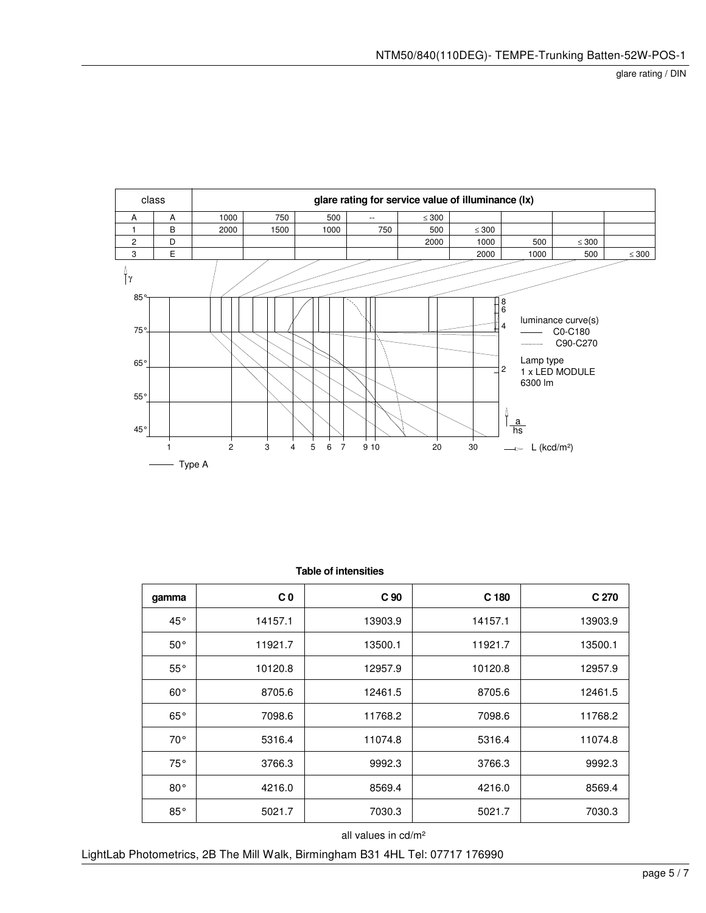

| gamma        | C <sub>0</sub> | C <sub>90</sub> | C <sub>180</sub> | C 270   |
|--------------|----------------|-----------------|------------------|---------|
| $45^{\circ}$ | 14157.1        | 13903.9         | 14157.1          | 13903.9 |
| $50^{\circ}$ | 11921.7        | 13500.1         | 11921.7          | 13500.1 |
| $55^{\circ}$ | 10120.8        | 12957.9         | 10120.8          | 12957.9 |
| $60^{\circ}$ | 8705.6         | 12461.5         | 8705.6           | 12461.5 |
| $65^{\circ}$ | 7098.6         | 11768.2         | 7098.6           | 11768.2 |
| $70^{\circ}$ | 5316.4         | 11074.8         | 5316.4           | 11074.8 |
| 75°          | 3766.3         | 9992.3          | 3766.3           | 9992.3  |
| $80^{\circ}$ | 4216.0         | 8569.4          | 4216.0           | 8569.4  |
| $85^{\circ}$ | 5021.7         | 7030.3          | 5021.7           | 7030.3  |

 **Table of intensities**

all values in cd/m²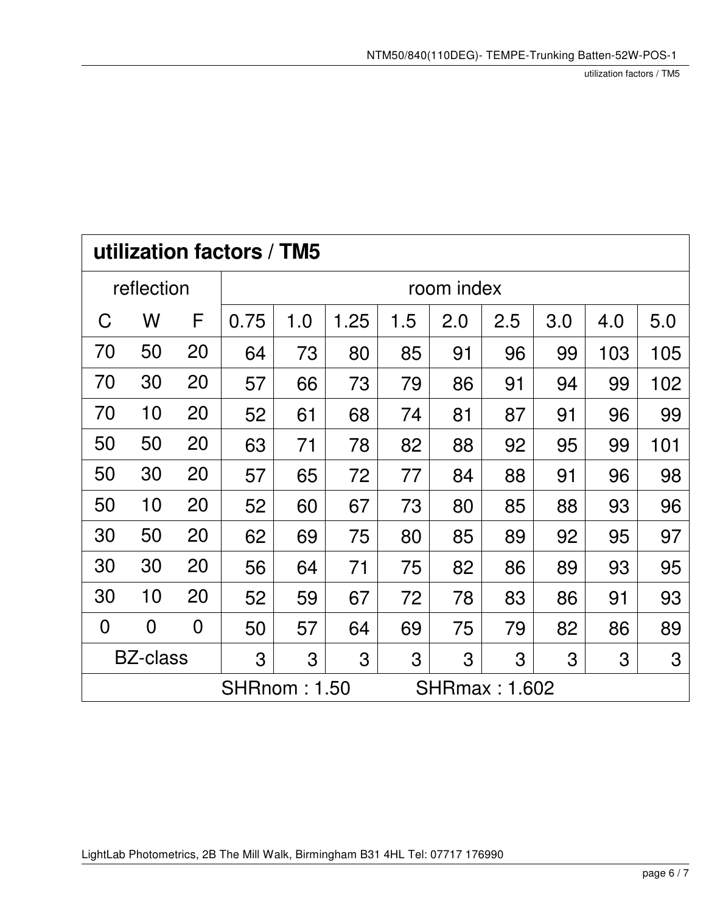utilization factors / TM5

| utilization factors / TM5                               |                |                |            |     |      |     |     |     |     |     |     |  |
|---------------------------------------------------------|----------------|----------------|------------|-----|------|-----|-----|-----|-----|-----|-----|--|
|                                                         | reflection     |                | room index |     |      |     |     |     |     |     |     |  |
| C                                                       | W              | F              | 0.75       | 1.0 | 1.25 | 1.5 | 2.0 | 2.5 | 3.0 | 4.0 | 5.0 |  |
| 70                                                      | 50             | 20             | 64         | 73  | 80   | 85  | 91  | 96  | 99  | 103 | 105 |  |
| 70                                                      | 30             | 20             | 57         | 66  | 73   | 79  | 86  | 91  | 94  | 99  | 102 |  |
| 70                                                      | 10             | 20             | 52         | 61  | 68   | 74  | 81  | 87  | 91  | 96  | 99  |  |
| 50                                                      | 50             | 20             | 63         | 71  | 78   | 82  | 88  | 92  | 95  | 99  | 101 |  |
| 50                                                      | 30             | 20             | 57         | 65  | 72   | 77  | 84  | 88  | 91  | 96  | 98  |  |
| 50                                                      | 10             | 20             | 52         | 60  | 67   | 73  | 80  | 85  | 88  | 93  | 96  |  |
| 30                                                      | 50             | 20             | 62         | 69  | 75   | 80  | 85  | 89  | 92  | 95  | 97  |  |
| 30                                                      | 30             | 20             | 56         | 64  | 71   | 75  | 82  | 86  | 89  | 93  | 95  |  |
| 30                                                      | 10             | 20             | 52         | 59  | 67   | 72  | 78  | 83  | 86  | 91  | 93  |  |
| $\overline{0}$                                          | $\overline{0}$ | $\overline{0}$ | 50         | 57  | 64   | 69  | 75  | 79  | 82  | 86  | 89  |  |
| <b>BZ-class</b><br>3<br>3<br>3<br>3<br>3<br>3<br>3<br>3 |                |                |            |     |      |     | 3   |     |     |     |     |  |
| <b>SHRnom: 1.50</b><br><b>SHRmax: 1.602</b>             |                |                |            |     |      |     |     |     |     |     |     |  |